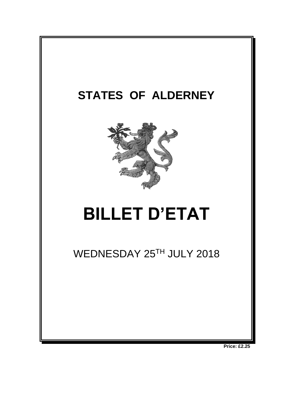

**Price: £2.25**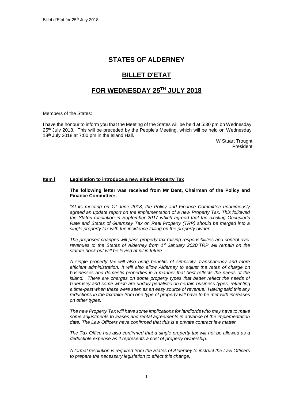## **STATES OF ALDERNEY**

# **BILLET D'ETAT**

## **FOR WEDNESDAY 25 TH JULY 2018**

Members of the States:

I have the honour to inform you that the Meeting of the States will be held at 5:30 pm on Wednesday 25<sup>th</sup> July 2018. This will be preceded by the People's Meeting, which will be held on Wednesday 18<sup>th</sup> July 2018 at 7:00 pm in the Island Hall.

> W Stuart Trought President

### **Item l Legislation to introduce a new single Property Tax**

#### **The following letter was received from Mr Dent, Chairman of the Policy and Finance Committee:-**

*"At its meeting on 12 June 2018, the Policy and Finance Committee unanimously agreed an update report on the implementation of a new Property Tax. This followed the States resolution in September 2017 which agreed that the existing Occupier's Rate and States of Guernsey Tax on Real Property (TRP) should be merged into a single property tax with the incidence falling on the property owner.* 

*The proposed changes will pass property tax raising responsibilities and control over revenues to the States of Alderney from 1st January 2020.TRP will remain on the statute book but will be levied at nil in future.*

*A single property tax will also bring benefits of simplicity, transparency and more efficient administration. It will also allow Alderney to adjust the rates of charge on businesses and domestic properties in a manner that best reflects the needs of the island. There are charges on some property types that better reflect the needs of Guernsey and some which are unduly penalistic on certain business types, reflecting a time-past when these were seen as an easy source of revenue. Having said this any reductions in the tax-take from one type of property will have to be met with increases on other types.*

*The new Property Tax will have some implications for landlords who may have to make some adjustments to leases and rental agreements in advance of the implementation date. The Law Officers have confirmed that this is a private contract law matter.*

*The Tax Office has also confirmed that a single property tax will not be allowed as a deductible expense as it represents a cost of property ownership.* 

*A formal resolution is required from the States of Alderney to instruct the Law Officers to prepare the necessary legislation to effect this change,*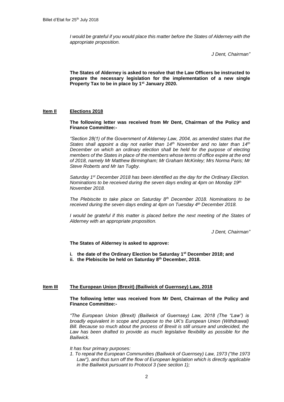*I would be grateful if you would place this matter before the States of Alderney with the appropriate proposition.*

*J Dent, Chairman"*

**The States of Alderney is asked to resolve that the Law Officers be instructed to prepare the necessary legislation for the implementation of a new single Property Tax to be in place by 1st January 2020.** 

### **Item Il Elections 2018**

**The following letter was received from Mr Dent, Chairman of the Policy and Finance Committee:-**

*"Section 28(1) of the Government of Alderney Law, 2004, as amended states that the States shall appoint a day not earlier than 14th November and no later than 14th December on which an ordinary election shall be held for the purpose of electing members of the States in place of the members whose terms of office expire at the end of 2018, namely Mr Matthew Birmingham; Mr Graham McKinley; Mrs Norma Paris; Mr Steve Roberts and Mr Ian Tugby.*

*Saturday 1st December 2018 has been identified as the day for the Ordinary Election. Nominations to be received during the seven days ending at 4pm on Monday 19th November 2018.* 

*The Plebiscite to take place on Saturday 8th December 2018. Nominations to be received during the seven days ending at 4pm on Tuesday 4 th December 2018.*

*I* would be grateful if this matter is placed before the next meeting of the States of *Alderney with an appropriate proposition.*

*J Dent, Chairman"*

#### **The States of Alderney is asked to approve:**

- **i. the date of the Ordinary Election be Saturday 1st December 2018; and**
- **ii. the Plebiscite be held on Saturday 8 th December, 2018.**

#### **Item III The European Union (Brexit) (Bailiwick of Guernsey) Law, 2018**

**The following letter was received from Mr Dent, Chairman of the Policy and Finance Committee:-**

*"The European Union (Brexit) (Bailiwick of Guernsey) Law, 2018 (The "Law") is broadly equivalent in scope and purpose to the UK's European Union (Withdrawal) Bill. Because so much about the process of Brexit is still unsure and undecided, the*  Law has been drafted to provide as much legislative flexibility as possible for the *Bailiwick.* 

*It has four primary purposes:* 

*1. To repeal the European Communities (Bailiwick of Guernsey) Law, 1973 ("the 1973*  Law"), and thus turn off the flow of European legislation which is directly applicable *in the Bailiwick pursuant to Protocol 3 (see section 1);*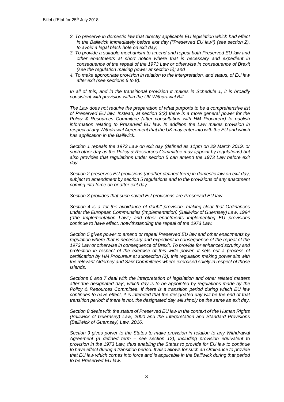- *2. To preserve in domestic law that directly applicable EU legislation which had effect in the Bailiwick immediately before exit day ("Preserved EU law") (see section 2), to avoid a legal black hole on exit day;*
- *3. To provide a suitable mechanism to amend and repeal both Preserved EU law and other enactments at short notice where that is necessary and expedient in consequence of the repeal of the 1973 Law or otherwise in consequence of Brexit (see the regulation making power at section 5); and*
- *4. To make appropriate provision in relation to the interpretation, and status, of EU law after exit (see sections 6 to 8).*

*In all of this, and in the transitional provision it makes in Schedule 1, it is broadly consistent with provision within the UK Withdrawal Bill.* 

*The Law does not require the preparation of what purports to be a comprehensive list of Preserved EU law. Instead, at section 3(2) there is a more general power for the Policy & Resources Committee (after consultation with HM Procureur) to publish information relating to Preserved EU law. In addition the Law makes provision in respect of any Withdrawal Agreement that the UK may enter into with the EU and which has application in the Bailiwick.*

*Section 1 repeals the 1973 Law on exit day (defined as 11pm on 29 March 2019, or such other day as the Policy & Resources Committee may appoint by regulations) but also provides that regulations under section 5 can amend the 1973 Law before exit day.*

*Section 2 preserves EU provisions (another defined term) in domestic law on exit day, subject to amendment by section 5 regulations and to the provisions of any enactment coming into force on or after exit day.*

*Section 3 provides that such saved EU provisions are Preserved EU law.*

*Section 4 is a 'for the avoidance of doubt' provision, making clear that Ordinances under the European Communities (Implementation) (Bailiwick of Guernsey) Law, 1994 ("the Implementation Law") and other enactments implementing EU provisions continue to have effect, notwithstanding the repeal of the 1973 Law.*

*Section 5 gives power to amend or repeal Preserved EU law and other enactments by regulation where that is necessary and expedient in consequence of the repeal of the 1973 Law or otherwise in consequence of Brexit. To provide for enhanced scrutiny and protection in respect of the exercise of this wide power, it sets out a process of certification by HM Procureur at subsection (3); this regulation making power sits with the relevant Alderney and Sark Committees where exercised solely in respect of those Islands.*

*Sections 6 and 7 deal with the interpretation of legislation and other related matters after 'the designated day', which day is to be appointed by regulations made by the Policy & Resources Committee. If there is a transition period during which EU law continues to have effect, it is intended that the designated day will be the end of that transition period; if there is not, the designated day will simply be the same as exit day.*

*Section 8 deals with the status of Preserved EU law in the context of the Human Rights (Bailiwick of Guernsey) Law, 2000 and the Interpretation and Standard Provisions (Bailiwick of Guernsey) Law, 2016.*

*Section 9 gives power to the States to make provision in relation to any Withdrawal Agreement (a defined term – see section 12), including provision equivalent to provision in the 1973 Law, thus enabling the States to provide for EU law to continue to have effect during a transition period. It also allows for such an Ordinance to provide that EU law which comes into force and is applicable in the Bailiwick during that period to be Preserved EU law.*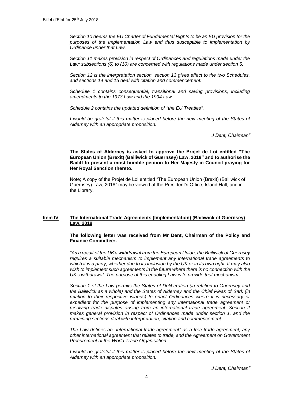*Section 10 deems the EU Charter of Fundamental Rights to be an EU provision for the purposes of the Implementation Law and thus susceptible to implementation by Ordinance under that Law.*

*Section 11 makes provision in respect of Ordinances and regulations made under the Law; subsections (6) to (10) are concerned with regulations made under section 5.*

*Section 12 is the interpretation section, section 13 gives effect to the two Schedules, and sections 14 and 15 deal with citation and commencement.*

*Schedule 1 contains consequential, transitional and saving provisions, including amendments to the 1973 Law and the 1994 Law.*

*Schedule 2 contains the updated definition of "the EU Treaties".*

*I* would be grateful if this matter is placed before the next meeting of the States of *Alderney with an appropriate proposition.*

*J Dent, Chairman"*

**The States of Alderney is asked to approve the Projet de Loi entitled "The European Union (Brexit) (Bailiwick of Guernsey) Law, 2018" and to authorise the Bailiff to present a most humble petition to Her Majesty in Council praying for Her Royal Sanction thereto.**

Note; A copy of the Projet de Loi entitled "The European Union (Brexit) (Bailiwick of Guernsey) Law, 2018" may be viewed at the President's Office, Island Hall, and in the Library.

#### **Item IV The International Trade Agreements (Implementation) (Bailiwick of Guernsey) Law, 2018**

**The following letter was received from Mr Dent, Chairman of the Policy and Finance Committee:-**

*"As a result of the UK's withdrawal from the European Union, the Bailiwick of Guernsey requires a suitable mechanism to implement any international trade agreements to which it is a party, whether due to its inclusion by the UK or in its own right. It may also wish to implement such agreements in the future where there is no connection with the UK's withdrawal. The purpose of this enabling Law is to provide that mechanism.*

*Section 1 of the Law permits the States of Deliberation (in relation to Guernsey and the Bailiwick as a whole) and the States of Alderney and the Chief Pleas of Sark (in relation to their respective islands) to enact Ordinances where it is necessary or*  expedient for the purpose of implementing any international trade agreement or *resolving trade disputes arising from an international trade agreement. Section 2 makes general provision in respect of Ordinances made under section 1, and the remaining sections deal with interpretation, citation and commencement.*

*The Law defines an "international trade agreement" as a free trade agreement, any other international agreement that relates to trade, and the Agreement on Government Procurement of the World Trade Organisation.*

*I* would be grateful if this matter is placed before the next meeting of the States of *Alderney with an appropriate proposition.*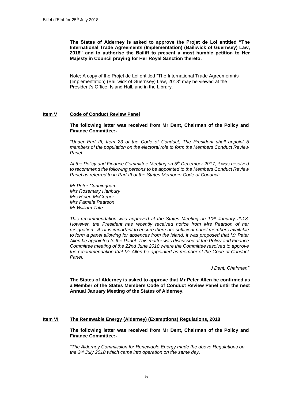**The States of Alderney is asked to approve the Projet de Loi entitled "The International Trade Agreements (Implementation) (Bailiwick of Guernsey) Law, 2018" and to authorise the Bailiff to present a most humble petition to Her Majesty in Council praying for Her Royal Sanction thereto.**

Note; A copy of the Projet de Loi entitled "The International Trade Agreememnts (Implementation) (Bailiwick of Guernsey) Law, 2018" may be viewed at the President's Office, Island Hall, and in the Library.

#### **Item V Code of Conduct Review Panel**

**The following letter was received from Mr Dent, Chairman of the Policy and Finance Committee:-**

*"Under Part III, Item 23 of the Code of Conduct, The President shall appoint 5 members of the population on the electoral role to form the Members Conduct Review Panel.* 

*At the Policy and Finance Committee Meeting on 5th December 2017, it was resolved to recommend the following persons to be appointed to the Members Conduct Review Panel as referred to in Part III of the States Members Code of Conduct:-*

*Mr Peter Cunningham Mrs Rosemary Hanbury Mrs Helen McGregor Mrs Pamela Pearson Mr William Tate*

*This recommendation was approved at the States Meeting on 10th January 2018. However, the President has recently received notice from Mrs Pearson of her resignation. As it is important to ensure there are sufficient panel members available to form a panel allowing for absences from the island, it was proposed that Mr Peter Allen be appointed to the Panel. This matter was discussed at the Policy and Finance Committee meeting of the 22nd June 2018 where the Committee resolved to approve the recommendation that Mr Allen be appointed as member of the Code of Conduct Panel.*

*J Dent, Chairman"*

**The States of Alderney is asked to approve that Mr Peter Allen be confirmed as a Member of the States Members Code of Conduct Review Panel until the next Annual January Meeting of the States of Alderney.**

#### **Item VI The Renewable Energy (Alderney) (Exemptions) Regulations, 2018**

**The following letter was received from Mr Dent, Chairman of the Policy and Finance Committee:-**

*"The Alderney Commission for Renewable Energy made the above Regulations on the 2nd July 2018 which came into operation on the same day.*